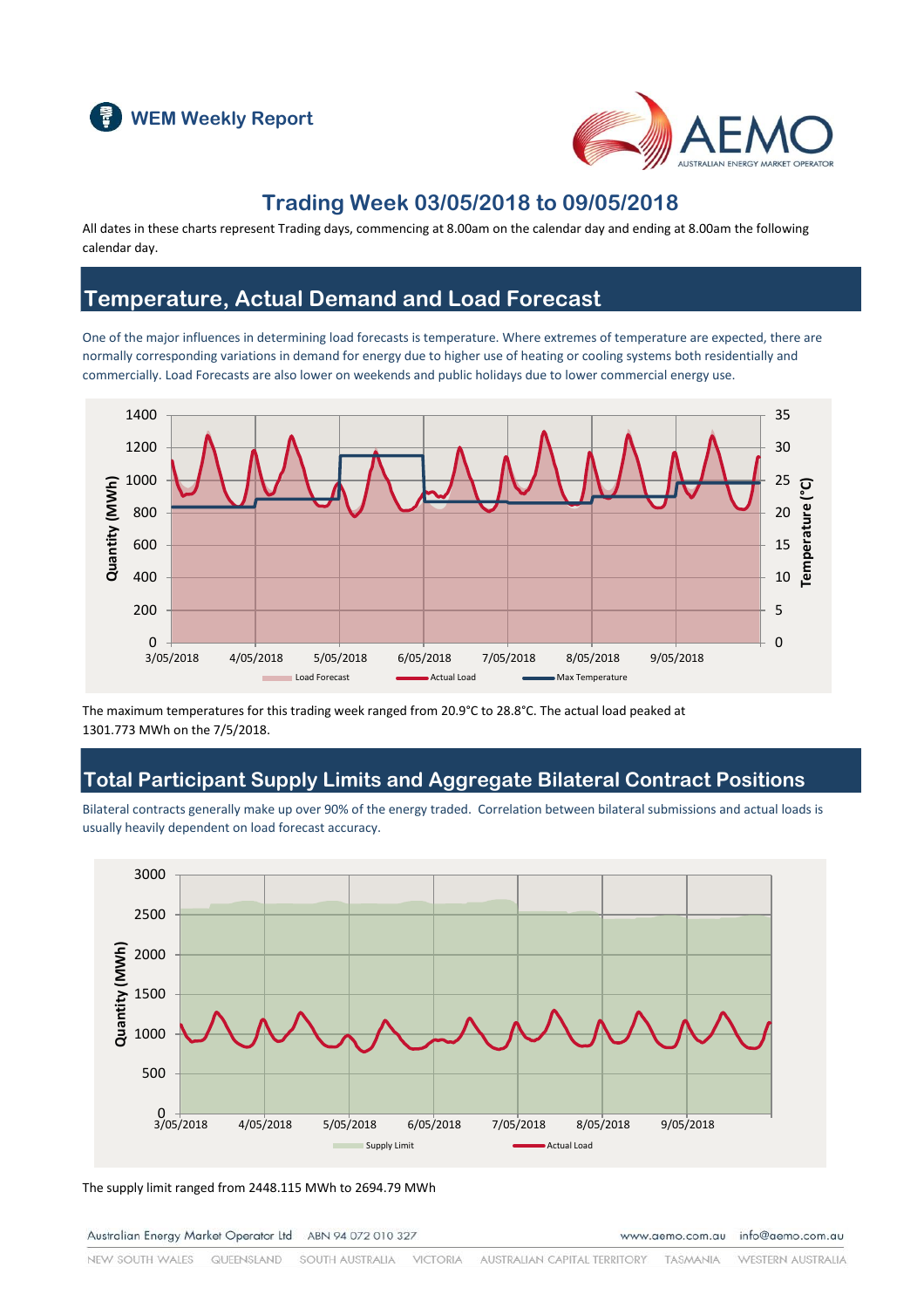



#### **Trading Week 03/05/2018 to 09/05/2018**

All dates in these charts represent Trading days, commencing at 8.00am on the calendar day and ending at 8.00am the following calendar day.

#### **Temperature, Actual Demand and Load Forecast**

One of the major influences in determining load forecasts is temperature. Where extremes of temperature are expected, there are normally corresponding variations in demand for energy due to higher use of heating or cooling systems both residentially and commercially. Load Forecasts are also lower on weekends and public holidays due to lower commercial energy use.



The maximum temperatures for this trading week ranged from 20.9°C to 28.8°C. The actual load peaked at 1301.773 MWh on the 7/5/2018.

#### **Total Participant Supply Limits and Aggregate Bilateral Contract Positions**

Bilateral contracts generally make up over 90% of the energy traded. Correlation between bilateral submissions and actual loads is usually heavily dependent on load forecast accuracy.



The supply limit ranged from 2448.115 MWh to 2694.79 MWh

Australian Energy Market Operator Ltd ABN 94 072 010 327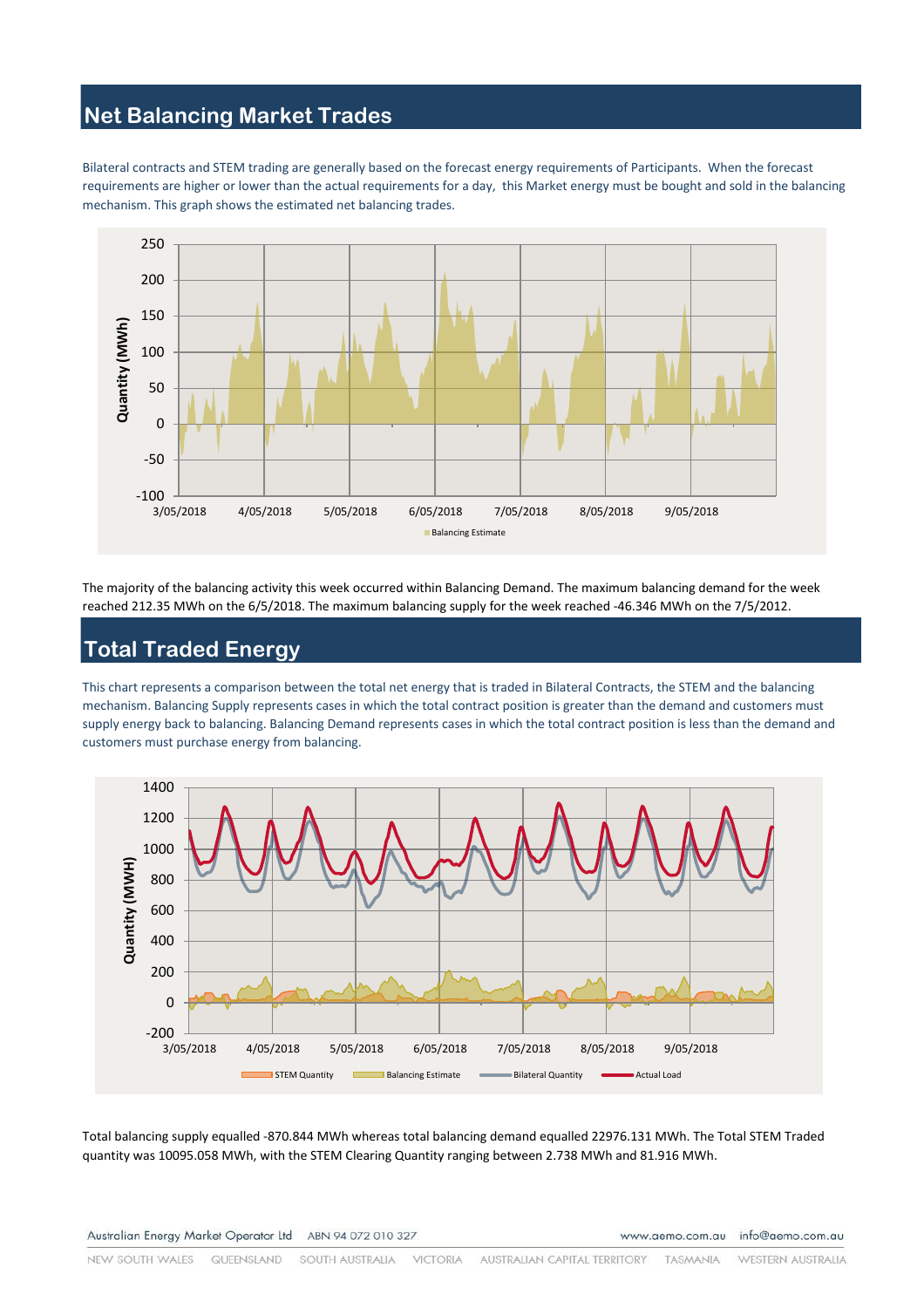# **Net Balancing Market Trades**

Bilateral contracts and STEM trading are generally based on the forecast energy requirements of Participants. When the forecast requirements are higher or lower than the actual requirements for a day, this Market energy must be bought and sold in the balancing mechanism. This graph shows the estimated net balancing trades.



The majority of the balancing activity this week occurred within Balancing Demand. The maximum balancing demand for the week reached 212.35 MWh on the 6/5/2018. The maximum balancing supply for the week reached -46.346 MWh on the 7/5/2012.

# **Total Traded Energy**

This chart represents a comparison between the total net energy that is traded in Bilateral Contracts, the STEM and the balancing mechanism. Balancing Supply represents cases in which the total contract position is greater than the demand and customers must supply energy back to balancing. Balancing Demand represents cases in which the total contract position is less than the demand and customers must purchase energy from balancing.



Total balancing supply equalled -870.844 MWh whereas total balancing demand equalled 22976.131 MWh. The Total STEM Traded quantity was 10095.058 MWh, with the STEM Clearing Quantity ranging between 2.738 MWh and 81.916 MWh.